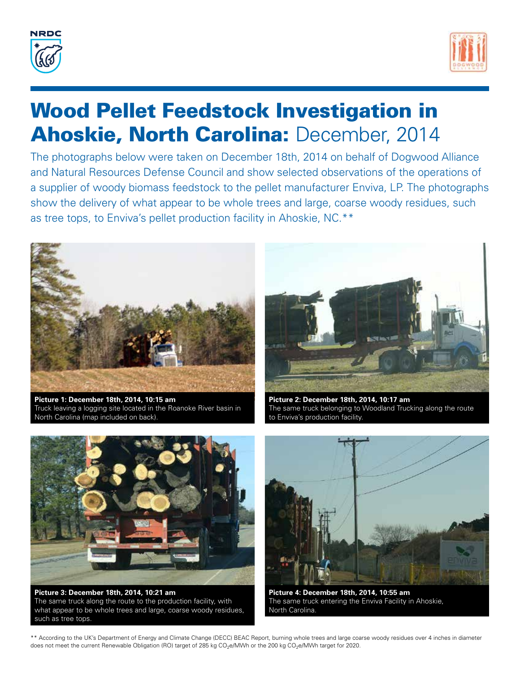



## Wood Pellet Feedstock Investigation in **Ahoskie, North Carolina: December, 2014**

The photographs below were taken on December 18th, 2014 on behalf of Dogwood Alliance and Natural Resources Defense Council and show selected observations of the operations of a supplier of woody biomass feedstock to the pellet manufacturer Enviva, LP. The photographs show the delivery of what appear to be whole trees and large, coarse woody residues, such as tree tops, to Enviva's pellet production facility in Ahoskie, NC.\*\*



**Picture 1: December 18th, 2014, 10:15 am**  Truck leaving a logging site located in the Roanoke River basin in North Carolina (map included on back).



**Picture 2: December 18th, 2014, 10:17 am**  The same truck belonging to Woodland Trucking along the route to Enviva's production facility.



**Picture 3: December 18th, 2014, 10:21 am**  The same truck along the route to the production facility, with what appear to be whole trees and large, coarse woody residues, such as tree tops.



**Picture 4: December 18th, 2014, 10:55 am**  The same truck entering the Enviva Facility in Ahoskie, North Carolina.

\*\* According to the UK's Department of Energy and Climate Change (DECC) BEAC Report, burning whole trees and large coarse woody residues over 4 inches in diameter does not meet the current Renewable Obligation (RO) target of 285 kg CO<sub>2</sub>e/MWh or the 200 kg CO<sub>2</sub>e/MWh target for 2020.